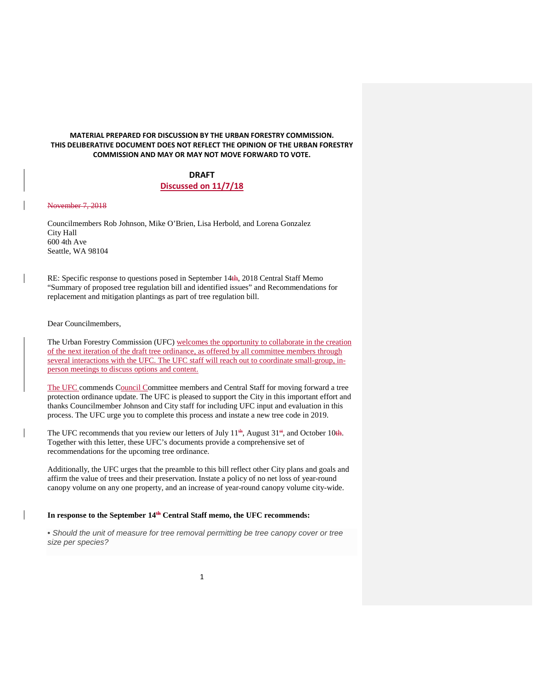# **MATERIAL PREPARED FOR DISCUSSION BY THE URBAN FORESTRY COMMISSION. THIS DELIBERATIVE DOCUMENT DOES NOT REFLECT THE OPINION OF THE URBAN FORESTRY COMMISSION AND MAY OR MAY NOT MOVE FORWARD TO VOTE.**

# **DRAFT Discussed on 11/7/18**

## November 7, 2018

Councilmembers Rob Johnson, Mike O'Brien, Lisa Herbold, and Lorena Gonzalez City Hall 600 4th Ave Seattle, WA 98104

RE: Specific response to questions posed in September 14th, 2018 Central Staff Memo "Summary of proposed tree regulation bill and identified issues" and Recommendations for replacement and mitigation plantings as part of tree regulation bill.

Dear Councilmembers,

The Urban Forestry Commission (UFC) welcomes the opportunity to collaborate in the creation of the next iteration of the draft tree ordinance, as offered by all committee members through several interactions with the UFC. The UFC staff will reach out to coordinate small-group, inperson meetings to discuss options and content.

The UFC commends Council Committee members and Central Staff for moving forward a tree protection ordinance update. The UFC is pleased to support the City in this important effort and thanks Councilmember Johnson and City staff for including UFC input and evaluation in this process. The UFC urge you to complete this process and instate a new tree code in 2019.

The UFC recommends that you review our letters of July  $11^{th}$ , August  $31^{st}$ , and October 10th. Together with this letter, these UFC's documents provide a comprehensive set of recommendations for the upcoming tree ordinance.

Additionally, the UFC urges that the preamble to this bill reflect other City plans and goals and affirm the value of trees and their preservation. Instate a policy of no net loss of year-round canopy volume on any one property, and an increase of year-round canopy volume city-wide.

#### In response to the September  $14^{th}$  Central Staff memo, the UFC recommends:

• *Should the unit of measure for tree removal permitting be tree canopy cover or tree size per species?*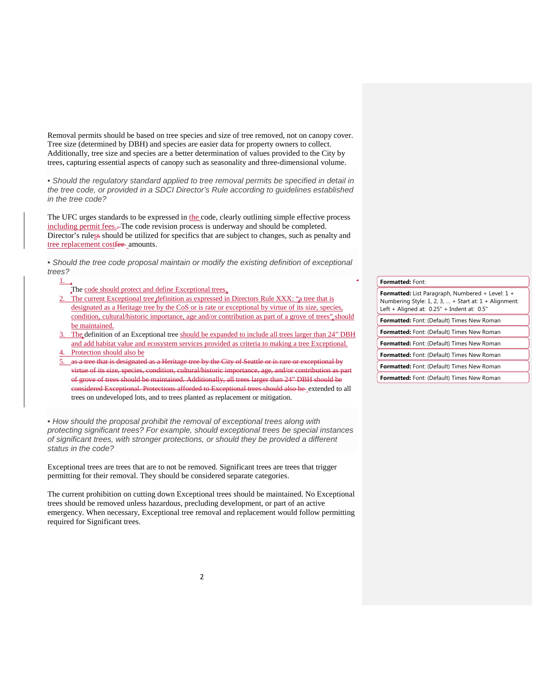Removal permits should be based on tree species and size of tree removed, not on canopy cover. Tree size (determined by DBH) and species are easier data for property owners to collect. Additionally, tree size and species are a better determination of values provided to the City by trees, capturing essential aspects of canopy such as seasonality and three-dimensional volume.

• *Should the regulatory standard applied to tree removal permits be specified in detail in the tree code, or provided in a SDCI Director's Rule according to guidelines established in the tree code?*

The UFC urges standards to be expressed in the code, clearly outlining simple effective process including permit fees.–The code revision process is underway and should be completed. Director's ruless should be utilized for specifics that are subject to changes, such as penalty and tree replacement costfee-amounts.

• *Should the tree code proposal maintain or modify the existing definition of exceptional trees?*

- The code should protect and define Exceptional trees,
- 2. The current Exceptional tree definition as expressed in Directors Rule XXX: "a tree that is designated as a Heritage tree by the CoS or is rate or exceptional by virtue of its size, species, condition, cultural/historic importance, age and/or contribution as part of a grove of trees" should be maintained.
- 3. The definition of an Exceptional tree should be expanded to include all trees larger than 24" DBH and add habitat value and ecosystem services provided as criteria to making a tree Exceptional.
- Protection should also be

1.

5. as a tree that is designated as a Heritage tree by the City of Seattle or is rare or exceptional by virtue of its size, species, condition, cultural/historic importance, age, and/or contribution as part of grove of trees should be maintained. Additionally, all trees larger than 24" DBH should be considered Exceptional. Protections afforded to Exceptional trees should also be extended to all trees on undeveloped lots, and to trees planted as replacement or mitigation.

• *How should the proposal prohibit the removal of exceptional trees along with protecting significant trees? For example, should exceptional trees be special instances of significant trees, with stronger protections, or should they be provided a different status in the code?*

Exceptional trees are trees that are to not be removed. Significant trees are trees that trigger permitting for their removal. They should be considered separate categories.

The current prohibition on cutting down Exceptional trees should be maintained. No Exceptional trees should be removed unless hazardous, precluding development, or part of an active emergency. When necessary, Exceptional tree removal and replacement would follow permitting required for Significant trees.

| <b>Formatted:</b> Font:                                                                                                                                   |
|-----------------------------------------------------------------------------------------------------------------------------------------------------------|
| Formatted: List Paragraph, Numbered + Level: 1 +<br>Numbering Style: 1, 2, 3,  + Start at: $1 +$ Alignment:<br>Left + Aligned at: 0.25" + Indent at: 0.5" |
| Formatted: Font: (Default) Times New Roman                                                                                                                |
| <b>Formatted:</b> Font: (Default) Times New Roman                                                                                                         |
| <b>Formatted:</b> Font: (Default) Times New Roman                                                                                                         |
| <b>Formatted:</b> Font: (Default) Times New Roman                                                                                                         |
| <b>Formatted:</b> Font: (Default) Times New Roman                                                                                                         |
| <b>Formatted:</b> Font: (Default) Times New Roman                                                                                                         |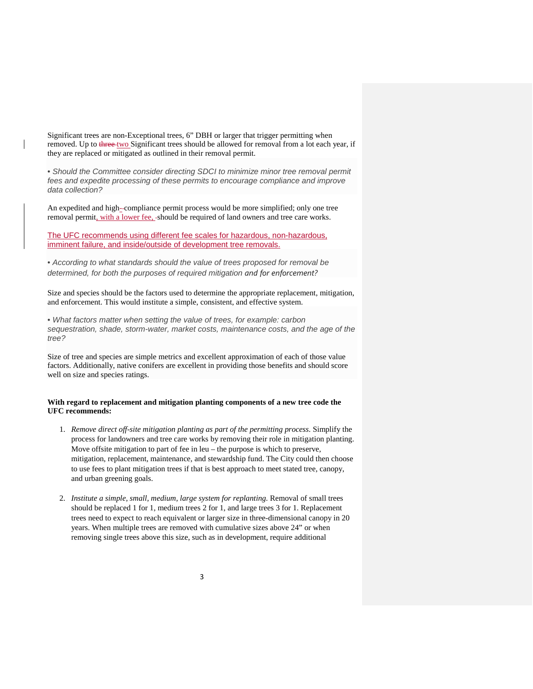Significant trees are non-Exceptional trees, 6" DBH or larger that trigger permitting when removed. Up to three two Significant trees should be allowed for removal from a lot each year, if they are replaced or mitigated as outlined in their removal permit.

• *Should the Committee consider directing SDCI to minimize minor tree removal permit fees and expedite processing of these permits to encourage compliance and improve data collection?*

An expedited and high-compliance permit process would be more simplified; only one tree removal permit, with a lower fee, should be required of land owners and tree care works.

The UFC recommends using different fee scales for hazardous, non-hazardous, imminent failure, and inside/outside of development tree removals.

• *According to what standards should the value of trees proposed for removal be determined, for both the purposes of required mitigation and for enforcement?*

Size and species should be the factors used to determine the appropriate replacement, mitigation, and enforcement. This would institute a simple, consistent, and effective system.

• *What factors matter when setting the value of trees, for example: carbon sequestration, shade, storm-water, market costs, maintenance costs, and the age of the tree?*

Size of tree and species are simple metrics and excellent approximation of each of those value factors. Additionally, native conifers are excellent in providing those benefits and should score well on size and species ratings.

# **With regard to replacement and mitigation planting components of a new tree code the UFC recommends:**

- 1. *Remove direct off-site mitigation planting as part of the permitting process.* Simplify the process for landowners and tree care works by removing their role in mitigation planting. Move offsite mitigation to part of fee in leu – the purpose is which to preserve, mitigation, replacement, maintenance, and stewardship fund. The City could then choose to use fees to plant mitigation trees if that is best approach to meet stated tree, canopy, and urban greening goals.
- 2. *Institute a simple, small, medium, large system for replanting.* Removal of small trees should be replaced 1 for 1, medium trees 2 for 1, and large trees 3 for 1. Replacement trees need to expect to reach equivalent or larger size in three-dimensional canopy in 20 years. When multiple trees are removed with cumulative sizes above 24" or when removing single trees above this size, such as in development, require additional